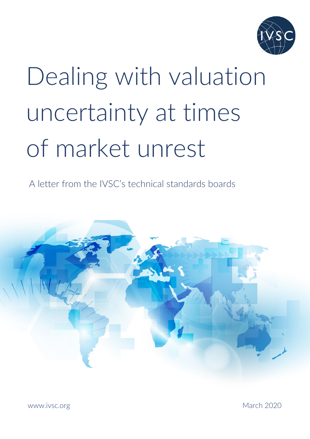

# Dealing with valuation uncertainty at times of market unrest

A letter from the IVSC's technical standards boards



March 2020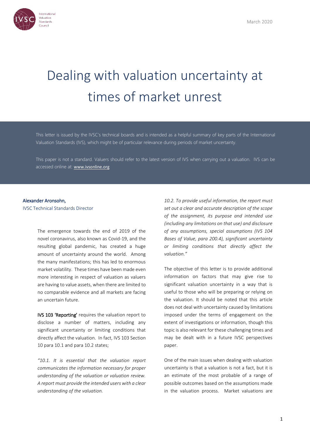

# Dealing with valuation uncertainty at times of market unrest

This letter is issued by the IVSC's technical boards and is intended as a helpful summary of key parts of the International Valuation Standards (IVS), which might be of particular relevance during periods of market uncertainty.

This paper is not a standard. Valuers should refer to the latest version of IVS when carrying out a valuation. IVS can be accessed online at: [www.ivsonline.org](http://www.ivsonline.org/)

#### Alexander Aronsohn,

IVSC Technical Standards Director

The emergence towards the end of 2019 of the novel coronavirus, also known as Covid-19, and the resulting global pandemic, has created a huge amount of uncertainty around the world. Among the many manifestations; this has led to enormous market volatility. These times have been made even more interesting in respect of valuation as valuers are having to value assets, when there are limited to no comparable evidence and all markets are facing an uncertain future.

IVS 103 'Reporting' requires the valuation report to disclose a number of matters, including any significant uncertainty or limiting conditions that directly affect the valuation. In fact, IVS 103 Section 10 para 10.1 and para 10.2 states;

*"10.1. It is essential that the valuation report communicates the information necessary for proper understanding of the valuation or valuation review. A report must provide the intended users with a clear understanding of the valuation.*

*10.2. To provide useful information, the report must set out a clear and accurate description of the scope of the assignment, its purpose and intended use (including any limitations on that use) and disclosure of any assumptions, special assumptions (IVS 104 Bases of Value, para 200.4), significant uncertainty or limiting conditions that directly affect the valuation."*

The objective of this letter is to provide additional information on factors that may give rise to significant valuation uncertainty in a way that is useful to those who will be preparing or relying on the valuation. It should be noted that this article does not deal with uncertainty caused by limitations imposed under the terms of engagement on the extent of investigations or information, though this topic is also relevant for these challenging times and may be dealt with in a future IVSC perspectives paper.

One of the main issues when dealing with valuation uncertainty is that a valuation is not a fact, but it is an estimate of the most probable of a range of possible outcomes based on the assumptions made in the valuation process. Market valuations are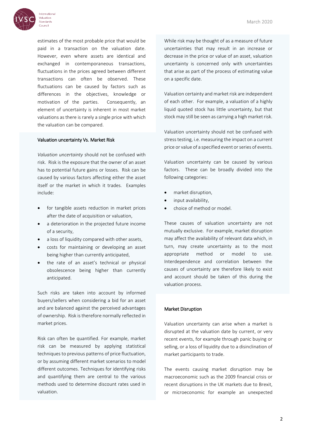

**Valuation Standards** Council

estimates of the most probable price that would be paid in a transaction on the valuation date. However, even where assets are identical and exchanged in contemporaneous transactions, fluctuations in the prices agreed between different transactions can often be observed. These fluctuations can be caused by factors such as differences in the objectives, knowledge or motivation of the parties. Consequently, an element of uncertainty is inherent in most market valuations as there is rarely a single price with which the valuation can be compared.

### Valuation uncertainty Vs. Market Risk

*Valuation uncertainty* should not be confused with risk. Risk is the exposure that the owner of an asset has to potential future gains or losses. Risk can be caused by various factors affecting either the asset itself or the market in which it trades. Examples include:

- for tangible assets reduction in market prices after the date of acquisition or valuation,
- a deterioration in the projected future income of a security,
- a loss of liquidity compared with other assets,
- costs for maintaining or developing an asset being higher than currently anticipated,
- the rate of an asset's technical or physical obsolescence being higher than currently anticipated.

Such risks are taken into account by informed buyers/sellers when considering a bid for an asset and are balanced against the perceived advantages of ownership. Risk is therefore normally reflected in market prices.

Risk can often be quantified. For example, market risk can be measured by applying statistical techniques to previous patterns of price fluctuation, or by assuming different market scenarios to model different outcomes. Techniques for identifying risks and quantifying them are central to the various methods used to determine discount rates used in valuation.

While risk may be thought of as a measure of future uncertainties that may result in an increase or decrease in the price or value of an asset, valuation uncertainty is concerned only with uncertainties that arise as part of the process of estimating value on a specific date.

Valuation certainty and market risk are independent of each other. For example, a valuation of a highly liquid quoted stock has little uncertainty, but that stock may still be seen as carrying a high market risk.

Valuation uncertainty should not be confused with stress testing, i.e. measuring the impact on a current price or value of a specified event or series of events.

Valuation uncertainty can be caused by various factors. These can be broadly divided into the following categories:

- market disruption,
- input availability,
- choice of method or model.

These causes of valuation uncertainty are not mutually exclusive. For example, market disruption may affect the availability of relevant data which, in turn, may create uncertainty as to the most appropriate method or model to use. Interdependence and correlation between the causes of uncertainty are therefore likely to exist and account should be taken of this during the valuation process.

## Market Disruption

Valuation uncertainty can arise when a market is disrupted at the valuation date by current, or very recent events, for example through panic buying or selling, or a loss of liquidity due to a disinclination of market participants to trade.

The events causing market disruption may be macroeconomic such as the 2009 financial crisis or recent disruptions in the UK markets due to Brexit, or microeconomic for example an unexpected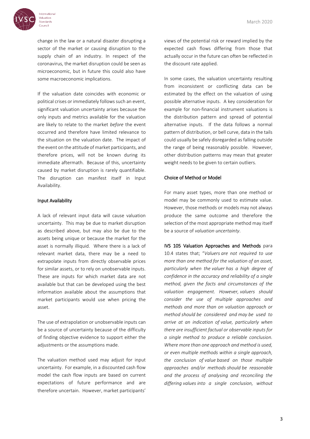

Valuation Standards Council

> change in the law or a natural disaster disrupting a sector of the market or causing disruption to the supply chain of an industry. In respect of the coronavirus, the market disruption could be seen as microeconomic, but in future this could also have some macroeconomic implications.

> If the valuation date coincides with economic or political crises or immediately follows such an event, significant valuation uncertainty arises because the only inputs and metrics available for the valuation are likely to relate to the market *before* the event occurred and therefore have limited relevance to the situation on the valuation date. The impact of the event on the attitude of market participants, and therefore prices, will not be known during its immediate aftermath. Because of this, uncertainty caused by market disruption is rarely quantifiable. The disruption can manifest itself in Input Availability.

#### Input Availability

A lack of relevant input data will cause valuation uncertainty. This may be due to market disruption as described above, but may also be due to the assets being unique or because the market for the asset is normally illiquid. Where there is a lack of relevant market data, there may be a need to extrapolate inputs from directly observable prices for similar assets, or to rely on unobservable inputs. These are inputs for which market data are not available but that can be developed using the best information available about the assumptions that market participants would use when pricing the asset.

The use of extrapolation or unobservable inputs can be a source of uncertainty because of the difficulty of finding objective evidence to support either the adjustments or the assumptions made.

The valuation method used may adjust for input uncertainty. For example, in a discounted cash flow model the cash flow inputs are based on current expectations of future performance and are therefore uncertain. However, market participants'

views of the potential risk or reward implied by the expected cash flows differing from those that actually occur in the future can often be reflected in the discount rate applied.

In some cases, the valuation uncertainty resulting from inconsistent or conflicting data can be estimated by the effect on the valuation of using possible alternative inputs. A key consideration for example for non-financial instrument valuations is the distribution pattern and spread of potential alternative inputs. If the data follows a normal pattern of distribution, or bell curve, data in the tails could usually be safely disregarded as falling outside the range of being reasonably possible. However, other distribution patterns may mean that greater weight needs to be given to certain outliers.

#### Choice of Method or Model

For many asset types, more than one method or model may be commonly used to estimate value. However, those methods or models may not always produce the same outcome and therefore the selection of the most appropriate method may itself be a source of *valuation uncertainty*.

IVS 105 Valuation Approaches and Methods para 10.4 states that; "*Valuers are not required to use more than one method for the valuation of an asset, particularly when the valuer has a high degree of confidence in the accuracy and reliability of a single method, given the facts and circumstances of the valuation engagement. However, valuers should consider the use of multiple approaches and methods and more than on valuation approach or method should be considered and may be used to arrive at an indication of value, particularly when there are insufficient factual or observable inputs for a single method to produce a reliable conclusion. Where more than one approach and method is used, or even multiple methods within a single approach, the conclusion of value based on those multiple approaches and/or methods should be reasonable and the process of analysing and reconciling the differing values into a single conclusion, without*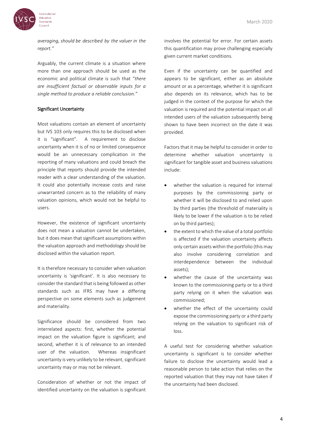

*averaging, should be described by the valuer in the report."*

Arguably, the current climate is a situation where more than one approach should be used as the economic and political climate is such that "*there are insufficient factual or observable inputs for a single method to produce a reliable conclusion."*

#### Significant Uncertainty

Most valuations contain an element of uncertainty but IVS 103 only requires this to be disclosed when it is "significant". A requirement to disclose uncertainty when it is of no or limited consequence would be an unnecessary complication in the reporting of many valuations and could breach the principle that reports should provide the intended reader with a clear understanding of the valuation. It could also potentially increase costs and raise unwarranted concern as to the reliability of many valuation opinions, which would not be helpful to users.

However, the existence of significant uncertainty does not mean a valuation cannot be undertaken, but it does mean that significant assumptions within the valuation approach and methodology should be disclosed within the valuation report.

It is therefore necessary to consider when valuation uncertainty is 'significant'. It is also necessary to consider the standard that is being followed as other standards such as IFRS may have a differing perspective on some elements such as judgement and materiality.

Significance should be considered from two interrelated aspects: first, whether the potential impact on the valuation figure is significant; and second, whether it is of relevance to an intended user of the valuation. Whereas insignificant uncertainty is very unlikely to be relevant, significant uncertainty may or may not be relevant.

Consideration of whether or not the impact of identified uncertainty on the valuation is significant involves the potential for error. For certain assets this quantification may prove challenging especially given current market conditions.

Even if the uncertainty can be quantified and appears to be significant, either as an absolute amount or as a percentage, whether it is significant also depends on its relevance, which has to be judged in the context of the purpose for which the valuation is required and the potential impact on all intended users of the valuation subsequently being shown to have been incorrect on the date it was provided.

Factors that it may be helpful to consider in order to determine whether valuation uncertainty is significant for tangible asset and business valuations include:

- whether the valuation is required for internal purposes by the commissioning party or whether it will be disclosed to and relied upon by third parties (the threshold of materiality is likely to be lower if the valuation is to be relied on by third parties);
- the extent to which the value of a total portfolio is affected if the valuation uncertainty affects only certain assets within the portfolio (this may also involve considering correlation and interdependence between the individual assets);
- whether the cause of the uncertainty was known to the commissioning party or to a third party relying on it when the valuation was commissioned;
- whether the effect of the uncertainty could expose the commissioning party or a third party relying on the valuation to significant risk of loss.

A useful test for considering whether valuation uncertainty is significant is to consider whether failure to disclose the uncertainty would lead a reasonable person to take action that relies on the reported valuation that they may not have taken if the uncertainty had been disclosed.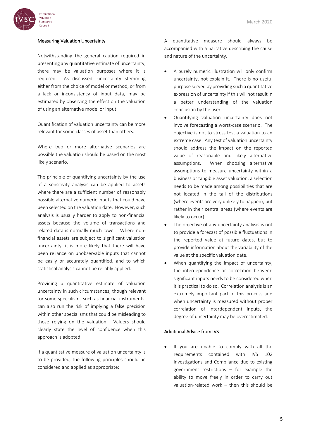

#### Measuring Valuation Uncertainty

Notwithstanding the general caution required in presenting any quantitative estimate of uncertainty, there may be valuation purposes where it is required. As discussed, uncertainty stemming either from the choice of model or method, or from a lack or inconsistency of input data, may be estimated by observing the effect on the valuation of using an alternative model or input.

Quantification of valuation uncertainty can be more relevant for some classes of asset than others.

Where two or more alternative scenarios are possible the valuation should be based on the most likely scenario.

The principle of quantifying uncertainty by the use of a sensitivity analysis can be applied to assets where there are a sufficient number of reasonably possible alternative numeric inputs that could have been selected on the valuation date. However, such analysis is usually harder to apply to non-financial assets because the volume of transactions and related data is normally much lower. Where nonfinancial assets are subject to significant valuation uncertainty, it is more likely that there will have been reliance on unobservable inputs that cannot be easily or accurately quantified, and to which statistical analysis cannot be reliably applied.

Providing a quantitative estimate of valuation uncertainty in such circumstances, though relevant for some specialisms such as financial instruments, can also run the risk of implying a false precision within other specialisms that could be misleading to those relying on the valuation. Valuers should clearly state the level of confidence when this approach is adopted.

If a quantitative measure of valuation uncertainty is to be provided, the following principles should be considered and applied as appropriate:

A quantitative measure should always be accompanied with a narrative describing the cause and nature of the uncertainty.

- A purely numeric illustration will only confirm uncertainty, not explain it. There is no useful purpose served by providing such a quantitative expression of uncertainty if this will not result in a better understanding of the valuation conclusion by the user.
- Quantifying valuation uncertainty does not involve forecasting a worst-case scenario. The objective is not to stress test a valuation to an extreme case. Any test of valuation uncertainty should address the impact on the reported value of reasonable and likely alternative assumptions. When choosing alternative assumptions to measure uncertainty within a business or tangible asset valuation, a selection needs to be made among possibilities that are not located in the tail of the distributions (where events are very unlikely to happen), but rather in their central areas (where events are likely to occur).
- The objective of any uncertainty analysis is not to provide a forecast of possible fluctuations in the reported value at future dates, but to provide information about the variability of the value at the specific valuation date.
- When quantifying the impact of uncertainty, the interdependence or correlation between significant inputs needs to be considered when it is practical to do so. Correlation analysis is an extremely important part of this process and when uncertainty is measured without proper correlation of interdependent inputs, the degree of uncertainty may be overestimated.

#### Additional Advice from IVS

 If you are unable to comply with all the requirements contained with IVS 102 Investigations and Compliance due to existing government restrictions – for example the ability to move freely in order to carry out valuation-related work – then this should be